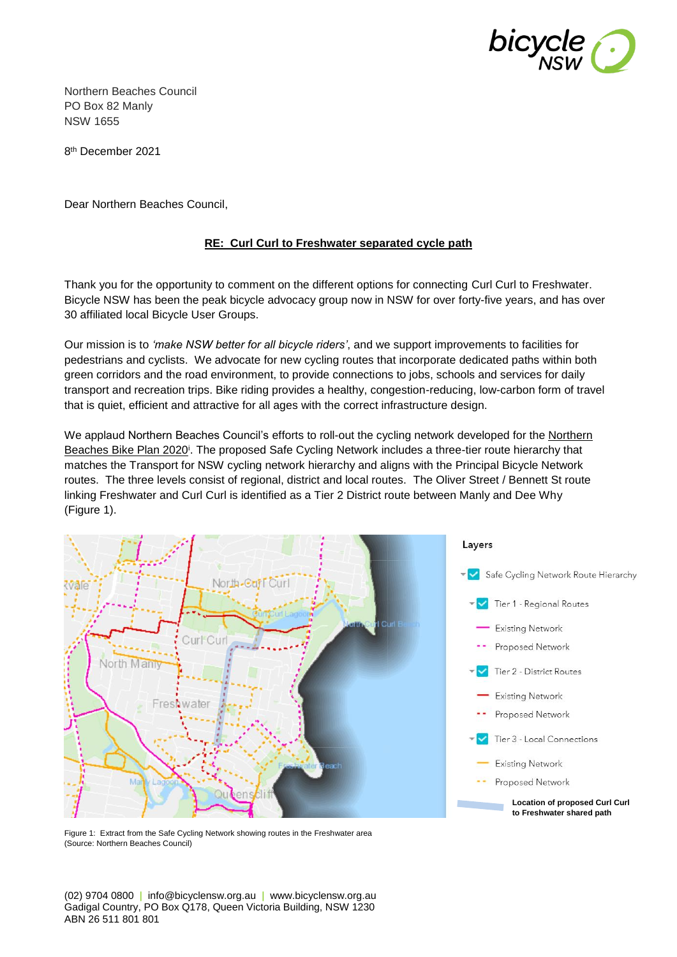

Northern Beaches Council PO Box 82 Manly NSW 1655

8 th December 2021

Dear Northern Beaches Council,

### **RE: Curl Curl to Freshwater separated cycle path**

Thank you for the opportunity to comment on the different options for connecting Curl Curl to Freshwater. Bicycle NSW has been the peak bicycle advocacy group now in NSW for over forty-five years, and has over 30 affiliated local Bicycle User Groups.

Our mission is to *'make NSW better for all bicycle riders'*, and we support improvements to facilities for pedestrians and cyclists. We advocate for new cycling routes that incorporate dedicated paths within both green corridors and the road environment, to provide connections to jobs, schools and services for daily transport and recreation trips. Bike riding provides a healthy, congestion-reducing, low-carbon form of travel that is quiet, efficient and attractive for all ages with the correct infrastructure design.

We applaud Northern Beaches Council's efforts to roll-out the cycling network developed for the Northern Beaches Bike Plan 2020<sup>i</sup>. The proposed Safe Cycling Network includes a three-tier route hierarchy that matches the Transport for NSW cycling network hierarchy and aligns with the Principal Bicycle Network routes. The three levels consist of regional, district and local routes. The Oliver Street / Bennett St route linking Freshwater and Curl Curl is identified as a Tier 2 District route between Manly and Dee Why (Figure 1).



Figure 1: Extract from the Safe Cycling Network showing routes in the Freshwater area (Source: Northern Beaches Council)

(02) 9704 0800 | info@bicyclensw.org.au | www.bicyclensw.org.au Gadigal Country, PO Box Q178, Queen Victoria Building, NSW 1230 ABN 26 511 801 801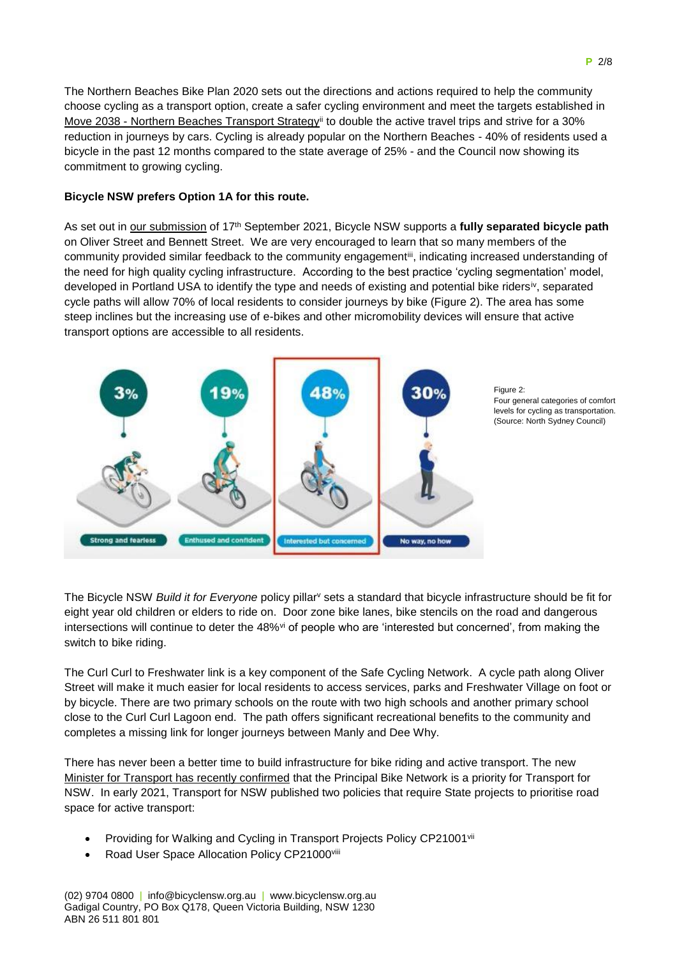The Northern Beaches Bike Plan 2020 sets out the directions and actions required to help the community choose cycling as a transport option, create a safer cycling environment and meet the targets established in Move 2038 - Northern Beaches Transport Strategyii to double the active travel trips and strive for a 30% reduction in journeys by cars. Cycling is already popular on the Northern Beaches - 40% of residents used a bicycle in the past 12 months compared to the state average of 25% - and the Council now showing its commitment to growing cycling.

### **Bicycle NSW prefers Option 1A for this route.**

As set out in [our submission](https://bicyclensw.org.au/wp-content/uploads/2021/10/220917-Bicycle-NSW-Curl-Curl-to-Freshwater-share-path-submission.pdf) of 17th September 2021, Bicycle NSW supports a **fully separated bicycle path** on Oliver Street and Bennett Street. We are very encouraged to learn that so many members of the community provided similar feedback to the community engagement<sup>iii</sup>, indicating increased understanding of the need for high quality cycling infrastructure. According to the best practice 'cycling segmentation' model, developed in Portland USA to identify the type and needs of existing and potential bike ridersiv, separated cycle paths will allow 70% of local residents to consider journeys by bike (Figure 2). The area has some steep inclines but the increasing use of e-bikes and other micromobility devices will ensure that active transport options are accessible to all residents.



Figure 2: Four general categories of comfort levels for cycling as transportation. (Source: North Sydney Council)

The Bicycle NSW *Build it for Everyone* policy pillar<sup>v</sup> sets a standard that bicycle infrastructure should be fit for eight year old children or elders to ride on. Door zone bike lanes, bike stencils on the road and dangerous intersections will continue to deter the 48%<sup>vi</sup> of people who are 'interested but concerned', from making the switch to bike riding.

The Curl Curl to Freshwater link is a key component of the Safe Cycling Network. A cycle path along Oliver Street will make it much easier for local residents to access services, parks and Freshwater Village on foot or by bicycle. There are two primary schools on the route with two high schools and another primary school close to the Curl Curl Lagoon end. The path offers significant recreational benefits to the community and completes a missing link for longer journeys between Manly and Dee Why.

There has never been a better time to build infrastructure for bike riding and active transport. The new [Minister for Transport has recently confirmed](https://bicyclensw.org.au/meeting-the-new-transport-minister/) that the Principal Bike Network is a priority for Transport for NSW. In early 2021, Transport for NSW published two policies that require State projects to prioritise road space for active transport:

- Providing for Walking and Cycling in Transport Projects Policy CP21001vii
- Road User Space Allocation Policy CP21000viii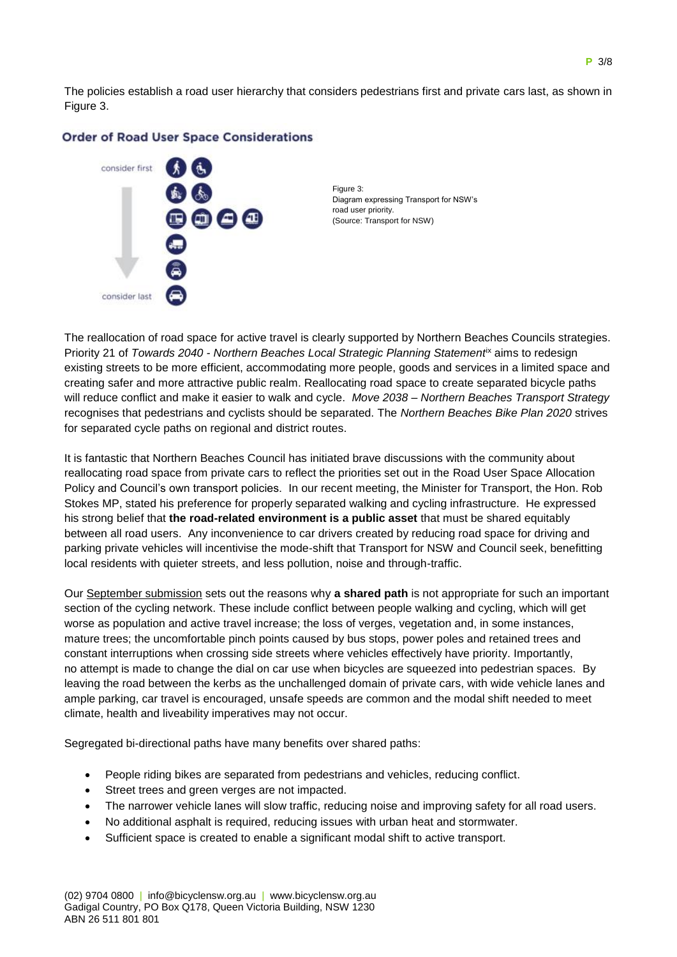The policies establish a road user hierarchy that considers pedestrians first and private cars last, as shown in Figure 3.



#### **Order of Road User Space Considerations**

Figure 3: Diagram expressing Transport for NSW's road user priority. (Source: Transport for NSW)

The reallocation of road space for active travel is clearly supported by Northern Beaches Councils strategies. Priority 21 of *Towards 2040 - Northern Beaches Local Strategic Planning Statement*ix aims to redesign existing streets to be more efficient, accommodating more people, goods and services in a limited space and creating safer and more attractive public realm. Reallocating road space to create separated bicycle paths will reduce conflict and make it easier to walk and cycle. *Move 2038 – Northern Beaches Transport Strategy* recognises that pedestrians and cyclists should be separated. The *Northern Beaches Bike Plan 2020* strives for separated cycle paths on regional and district routes.

It is fantastic that Northern Beaches Council has initiated brave discussions with the community about reallocating road space from private cars to reflect the priorities set out in the Road User Space Allocation Policy and Council's own transport policies. In our recent meeting, the Minister for Transport, the Hon. Rob Stokes MP, stated his preference for properly separated walking and cycling infrastructure. He expressed his strong belief that **the road-related environment is a public asset** that must be shared equitably between all road users. Any inconvenience to car drivers created by reducing road space for driving and parking private vehicles will incentivise the mode-shift that Transport for NSW and Council seek, benefitting local residents with quieter streets, and less pollution, noise and through-traffic.

Our [September submission](https://bicyclensw.org.au/wp-content/uploads/2021/10/220917-Bicycle-NSW-Curl-Curl-to-Freshwater-share-path-submission.pdf) sets out the reasons why **a shared path** is not appropriate for such an important section of the cycling network. These include conflict between people walking and cycling, which will get worse as population and active travel increase; the loss of verges, vegetation and, in some instances, mature trees; the uncomfortable pinch points caused by bus stops, power poles and retained trees and constant interruptions when crossing side streets where vehicles effectively have priority. Importantly, no attempt is made to change the dial on car use when bicycles are squeezed into pedestrian spaces. By leaving the road between the kerbs as the unchallenged domain of private cars, with wide vehicle lanes and ample parking, car travel is encouraged, unsafe speeds are common and the modal shift needed to meet climate, health and liveability imperatives may not occur.

Segregated bi-directional paths have many benefits over shared paths:

- People riding bikes are separated from pedestrians and vehicles, reducing conflict.
- Street trees and green verges are not impacted.
- The narrower vehicle lanes will slow traffic, reducing noise and improving safety for all road users.
- No additional asphalt is required, reducing issues with urban heat and stormwater.
- Sufficient space is created to enable a significant modal shift to active transport.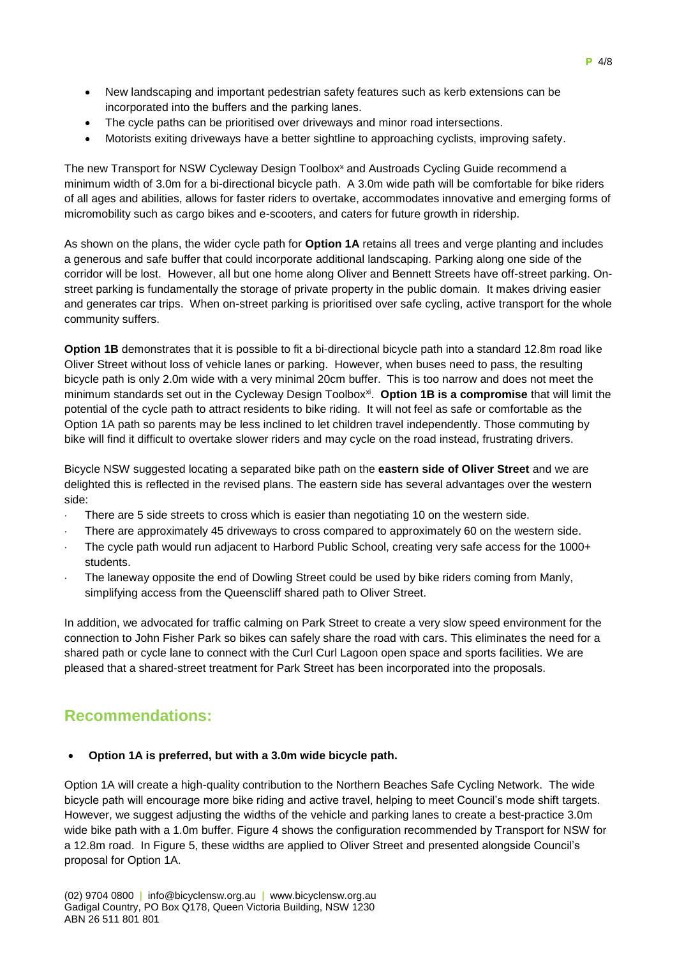- New landscaping and important pedestrian safety features such as kerb extensions can be incorporated into the buffers and the parking lanes.
- The cycle paths can be prioritised over driveways and minor road intersections.
- Motorists exiting driveways have a better sightline to approaching cyclists, improving safety.

The new Transport for NSW Cycleway Design Toolbox<sup>x</sup> and Austroads Cycling Guide recommend a minimum width of 3.0m for a bi-directional bicycle path. A 3.0m wide path will be comfortable for bike riders of all ages and abilities, allows for faster riders to overtake, accommodates innovative and emerging forms of micromobility such as cargo bikes and e-scooters, and caters for future growth in ridership.

As shown on the plans, the wider cycle path for **Option 1A** retains all trees and verge planting and includes a generous and safe buffer that could incorporate additional landscaping. Parking along one side of the corridor will be lost. However, all but one home along Oliver and Bennett Streets have off-street parking. Onstreet parking is fundamentally the storage of private property in the public domain. It makes driving easier and generates car trips. When on-street parking is prioritised over safe cycling, active transport for the whole community suffers.

**Option 1B** demonstrates that it is possible to fit a bi-directional bicycle path into a standard 12.8m road like Oliver Street without loss of vehicle lanes or parking. However, when buses need to pass, the resulting bicycle path is only 2.0m wide with a very minimal 20cm buffer. This is too narrow and does not meet the minimum standards set out in the Cycleway Design Toolbox<sup>xi</sup>. **Option 1B is a compromise** that will limit the potential of the cycle path to attract residents to bike riding. It will not feel as safe or comfortable as the Option 1A path so parents may be less inclined to let children travel independently. Those commuting by bike will find it difficult to overtake slower riders and may cycle on the road instead, frustrating drivers.

Bicycle NSW suggested locating a separated bike path on the **eastern side of Oliver Street** and we are delighted this is reflected in the revised plans. The eastern side has several advantages over the western side:

- There are 5 side streets to cross which is easier than negotiating 10 on the western side.
- There are approximately 45 driveways to cross compared to approximately 60 on the western side.
- The cycle path would run adjacent to Harbord Public School, creating very safe access for the 1000+ students.
- The laneway opposite the end of Dowling Street could be used by bike riders coming from Manly, simplifying access from the Queenscliff shared path to Oliver Street.

In addition, we advocated for traffic calming on Park Street to create a very slow speed environment for the connection to John Fisher Park so bikes can safely share the road with cars. This eliminates the need for a shared path or cycle lane to connect with the Curl Curl Lagoon open space and sports facilities. We are pleased that a shared-street treatment for Park Street has been incorporated into the proposals.

# **Recommendations:**

### **Option 1A is preferred, but with a 3.0m wide bicycle path.**

Option 1A will create a high-quality contribution to the Northern Beaches Safe Cycling Network. The wide bicycle path will encourage more bike riding and active travel, helping to meet Council's mode shift targets. However, we suggest adjusting the widths of the vehicle and parking lanes to create a best-practice 3.0m wide bike path with a 1.0m buffer. Figure 4 shows the configuration recommended by Transport for NSW for a 12.8m road. In Figure 5, these widths are applied to Oliver Street and presented alongside Council's proposal for Option 1A.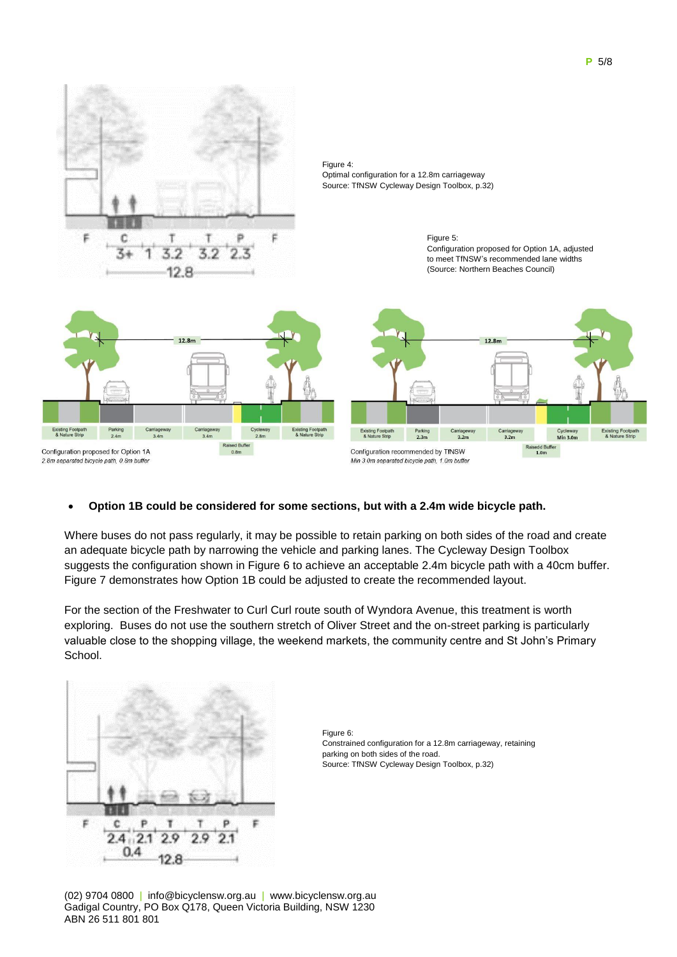

## **Option 1B could be considered for some sections, but with a 2.4m wide bicycle path.**

Where buses do not pass regularly, it may be possible to retain parking on both sides of the road and create an adequate bicycle path by narrowing the vehicle and parking lanes. The Cycleway Design Toolbox suggests the configuration shown in Figure 6 to achieve an acceptable 2.4m bicycle path with a 40cm buffer. Figure 7 demonstrates how Option 1B could be adjusted to create the recommended layout.

For the section of the Freshwater to Curl Curl route south of Wyndora Avenue, this treatment is worth exploring. Buses do not use the southern stretch of Oliver Street and the on-street parking is particularly valuable close to the shopping village, the weekend markets, the community centre and St John's Primary School.



Figure 6: Constrained configuration for a 12.8m carriageway, retaining parking on both sides of the road. Source: TfNSW Cycleway Design Toolbox, p.32)

(02) 9704 0800 | info@bicyclensw.org.au | www.bicyclensw.org.au Gadigal Country, PO Box Q178, Queen Victoria Building, NSW 1230 ABN 26 511 801 801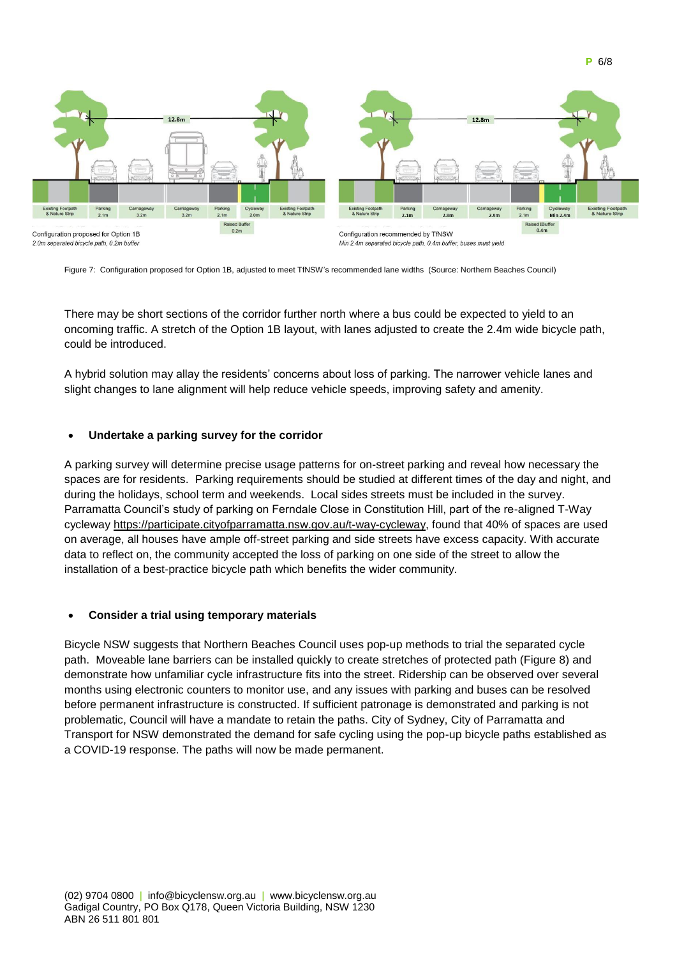

**P** 6/8

Figure 7: Configuration proposed for Option 1B, adjusted to meet TfNSW's recommended lane widths (Source: Northern Beaches Council)

There may be short sections of the corridor further north where a bus could be expected to yield to an oncoming traffic. A stretch of the Option 1B layout, with lanes adjusted to create the 2.4m wide bicycle path, could be introduced.

A hybrid solution may allay the residents' concerns about loss of parking. The narrower vehicle lanes and slight changes to lane alignment will help reduce vehicle speeds, improving safety and amenity.

### **Undertake a parking survey for the corridor**

A parking survey will determine precise usage patterns for on-street parking and reveal how necessary the spaces are for residents. Parking requirements should be studied at different times of the day and night, and during the holidays, school term and weekends. Local sides streets must be included in the survey. Parramatta Council's study of parking on Ferndale Close in Constitution Hill, part of the re-aligned T-Way cycleway [https://participate.cityofparramatta.nsw.gov.au/t-way-cycleway,](https://participate.cityofparramatta.nsw.gov.au/t-way-cycleway) found that 40% of spaces are used on average, all houses have ample off-street parking and side streets have excess capacity. With accurate data to reflect on, the community accepted the loss of parking on one side of the street to allow the installation of a best-practice bicycle path which benefits the wider community.

#### **Consider a trial using temporary materials**

Bicycle NSW suggests that Northern Beaches Council uses pop-up methods to trial the separated cycle path. Moveable lane barriers can be installed quickly to create stretches of protected path (Figure 8) and demonstrate how unfamiliar cycle infrastructure fits into the street. Ridership can be observed over several months using electronic counters to monitor use, and any issues with parking and buses can be resolved before permanent infrastructure is constructed. If sufficient patronage is demonstrated and parking is not problematic, Council will have a mandate to retain the paths. City of Sydney, City of Parramatta and Transport for NSW demonstrated the demand for safe cycling using the pop-up bicycle paths established as a COVID-19 response. The paths will now be made permanent.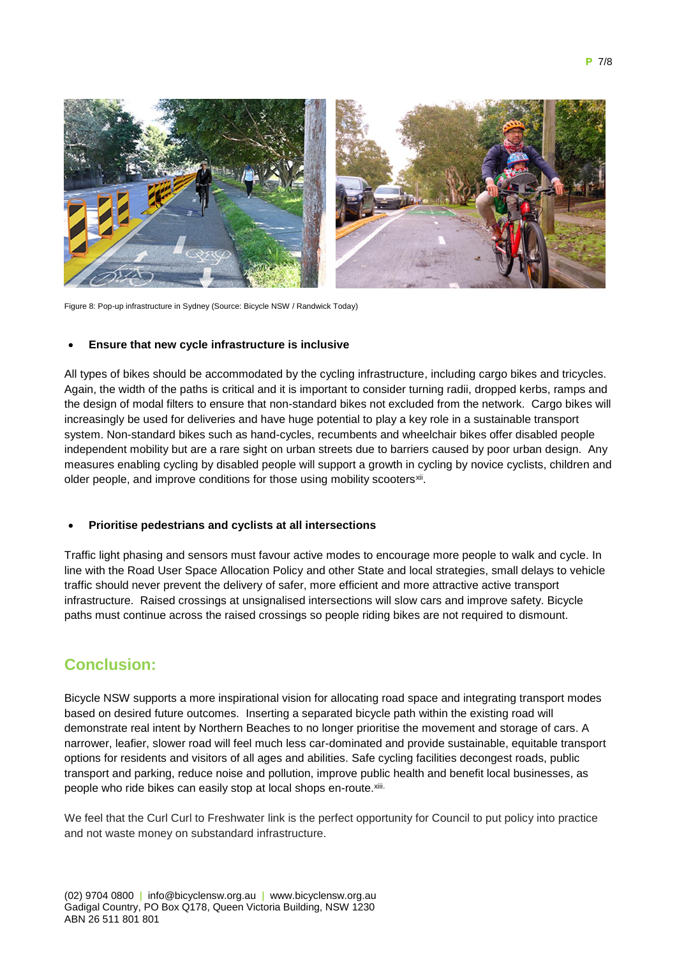

Figure 8: Pop-up infrastructure in Sydney (Source: Bicycle NSW / Randwick Today)

#### **Ensure that new cycle infrastructure is inclusive**

All types of bikes should be accommodated by the cycling infrastructure, including cargo bikes and tricycles. Again, the width of the paths is critical and it is important to consider turning radii, dropped kerbs, ramps and the design of modal filters to ensure that non-standard bikes not excluded from the network. Cargo bikes will increasingly be used for deliveries and have huge potential to play a key role in a sustainable transport system. Non-standard bikes such as hand-cycles, recumbents and wheelchair bikes offer disabled people independent mobility but are a rare sight on urban streets due to barriers caused by poor urban design. Any measures enabling cycling by disabled people will support a growth in cycling by novice cyclists, children and older people, and improve conditions for those using mobility scooters<sup>xii</sup>.

#### **Prioritise pedestrians and cyclists at all intersections**

Traffic light phasing and sensors must favour active modes to encourage more people to walk and cycle. In line with the Road User Space Allocation Policy and other State and local strategies, small delays to vehicle traffic should never prevent the delivery of safer, more efficient and more attractive active transport infrastructure. Raised crossings at unsignalised intersections will slow cars and improve safety. Bicycle paths must continue across the raised crossings so people riding bikes are not required to dismount.

## **Conclusion:**

Bicycle NSW supports a more inspirational vision for allocating road space and integrating transport modes based on desired future outcomes. Inserting a separated bicycle path within the existing road will demonstrate real intent by Northern Beaches to no longer prioritise the movement and storage of cars. A narrower, leafier, slower road will feel much less car-dominated and provide sustainable, equitable transport options for residents and visitors of all ages and abilities. Safe cycling facilities decongest roads, public transport and parking, reduce noise and pollution, improve public health and benefit local businesses, as people who ride bikes can easily stop at local shops en-route.xiii.

We feel that the Curl Curl to Freshwater link is the perfect opportunity for Council to put policy into practice and not waste money on substandard infrastructure.